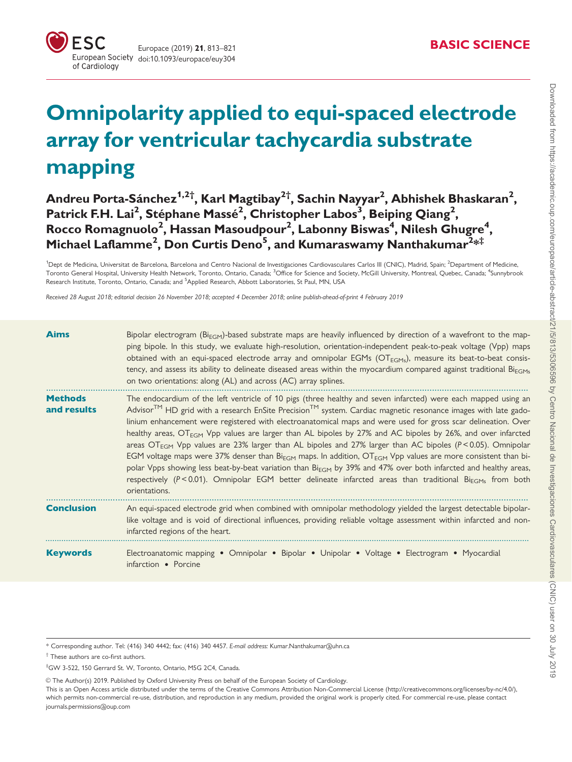# Omnipolarity applied to equi-spaced electrode array for ventricular tachycardia substrate mapping

## Andreu Porta-Sánchez $^{\rm 1,2\dagger}$ , Karl Magtibay $^{\rm 2\dagger}$ , Sachin Nayyar $^{\rm 2}$ , Abhishek Bhaskaran $^{\rm 2}$ , Patrick F.H. Lai<sup>2</sup>, Stéphane Massé<sup>2</sup>, Christopher Labos<sup>3</sup>, Beiping Qiang<sup>2</sup>, Rocco Romagnuolo<sup>2</sup>, Hassan Masoudpour<sup>2</sup>, Labonny Biswas<sup>4</sup>, Nilesh Ghugre<sup>4</sup>, Michael Laflamme $^2$ , Don Curtis Deno $^5$ , and Kumaraswamy Nanthakumar $^{2\ast\ddagger}$

<sup>1</sup>Dept de Medicina, Universitat de Barcelona, Barcelona and Centro Nacional de Investigaciones Cardiovasculares Carlos III (CNIC), Madrid, Spain; <sup>2</sup>Department of Medicine. Toronto General Hospital, University Health Network, Toronto, Ontario, Canada; <sup>3</sup>Office for Science and Society, McGill University, Montreal, Quebec, Canada; <sup>4</sup>Sunnybrook Research Institute, Toronto, Ontario, Canada; and <sup>5</sup>Applied Research, Abbott Laboratories, St Paul, MN, USA

Received 28 August 2018; editorial decision 26 November 2018; accepted 4 December 2018; online publish-ahead-of-print 4 February 2019

| <b>Aims</b>                   | Bipolar electrogram ( $Bi_{EGM}$ )-based substrate maps are heavily influenced by direction of a wavefront to the map-<br>ping bipole. In this study, we evaluate high-resolution, orientation-independent peak-to-peak voltage (Vpp) maps<br>obtained with an equi-spaced electrode array and omnipolar EGMs ( $OT_{EGMs}$ ), measure its beat-to-beat consis-<br>tency, and assess its ability to delineate diseased areas within the myocardium compared against traditional $Bi_{EGMs}$<br>on two orientations: along (AL) and across (AC) array splines.                                                                                                                                                                                                                                                                                                                                                                                                                                                                        |
|-------------------------------|--------------------------------------------------------------------------------------------------------------------------------------------------------------------------------------------------------------------------------------------------------------------------------------------------------------------------------------------------------------------------------------------------------------------------------------------------------------------------------------------------------------------------------------------------------------------------------------------------------------------------------------------------------------------------------------------------------------------------------------------------------------------------------------------------------------------------------------------------------------------------------------------------------------------------------------------------------------------------------------------------------------------------------------|
| <b>Methods</b><br>and results | The endocardium of the left ventricle of 10 pigs (three healthy and seven infarcted) were each mapped using an<br>Advisor <sup>TM</sup> HD grid with a research EnSite Precision <sup>TM</sup> system. Cardiac magnetic resonance images with late gado-<br>linium enhancement were registered with electroanatomical maps and were used for gross scar delineation. Over<br>healthy areas, $OT_{EGM}$ Vpp values are larger than AL bipoles by 27% and AC bipoles by 26%, and over infarcted<br>areas $\text{OT}_{\text{EGM}}$ Vpp values are 23% larger than AL bipoles and 27% larger than AC bipoles (P<0.05). Omnipolar<br>EGM voltage maps were 37% denser than Bi <sub>EGM</sub> maps. In addition, OT <sub>EGM</sub> Vpp values are more consistent than bi-<br>polar Vpps showing less beat-by-beat variation than $Bi_{EGM}$ by 39% and 47% over both infarcted and healthy areas,<br>respectively (P<0.01). Omnipolar EGM better delineate infarcted areas than traditional Bi <sub>FGMs</sub> from both<br>orientations. |
| <b>Conclusion</b>             | An equi-spaced electrode grid when combined with omnipolar methodology yielded the largest detectable bipolar-<br>like voltage and is void of directional influences, providing reliable voltage assessment within infarcted and non-<br>infarcted regions of the heart.                                                                                                                                                                                                                                                                                                                                                                                                                                                                                                                                                                                                                                                                                                                                                             |
| <b>Keywords</b>               | Electroanatomic mapping • Omnipolar • Bipolar • Unipolar • Voltage • Electrogram • Myocardial<br>infarction • Porcine                                                                                                                                                                                                                                                                                                                                                                                                                                                                                                                                                                                                                                                                                                                                                                                                                                                                                                                |

\* Corresponding author. Tel: (416) 340 4442; fax: (416) 340 4457. E-mail address: Kumar.Nanthakumar@uhn.ca

† These authors are co-first authors.

‡ GW 3-522, 150 Gerrard St. W, Toronto, Ontario, M5G 2C4, Canada.

V<sup>C</sup> The Author(s) 2019. Published by Oxford University Press on behalf of the European Society of Cardiology.

This is an Open Access article distributed under the terms of the Creative Commons Attribution Non-Commercial License (http://creativecommons.org/licenses/by-nc/4.0/), which permits non-commercial re-use, distribution, and reproduction in any medium, provided the original work is properly cited. For commercial re-use, please contact journals.permissions@oup.com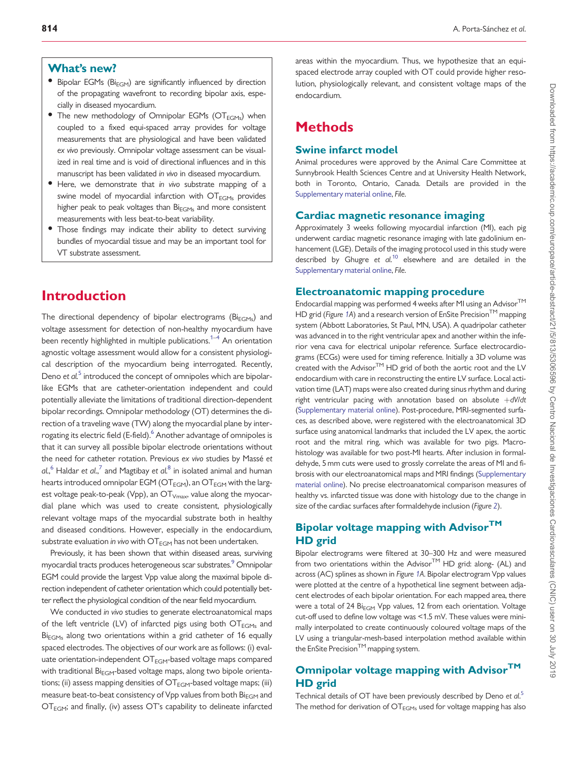#### <span id="page-1-0"></span>What's new?

- Bipolar EGMs ( $Bi_{FGM}$ ) are significantly influenced by direction of the propagating wavefront to recording bipolar axis, especially in diseased myocardium.
- $\bullet$  The new methodology of Omnipolar EGMs (OT $_{\text{EGMs}}$ ) when coupled to a fixed equi-spaced array provides for voltage measurements that are physiological and have been validated ex vivo previously. Omnipolar voltage assessment can be visualized in real time and is void of directional influences and in this manuscript has been validated in vivo in diseased myocardium.
- Here, we demonstrate that in vivo substrate mapping of a swine model of myocardial infarction with  $OT<sub>FGMs</sub>$  provides higher peak to peak voltages than  $Bi_{EGMs}$  and more consistent measurements with less beat-to-beat variability.
- Those findings may indicate their ability to detect surviving bundles of myocardial tissue and may be an important tool for VT substrate assessment.

## Introduction

The directional dependency of bipolar electrograms ( $Bi_{EGMs}$ ) and voltage assessment for detection of non-healthy myocardium have been recently highlighted in multiple publications.<sup>[1–4](#page-8-0)</sup> An orientation agnostic voltage assessment would allow for a consistent physiological description of the myocardium being interrogated. Recently, Deno et  $al<sup>5</sup>$  $al<sup>5</sup>$  $al<sup>5</sup>$  introduced the concept of omnipoles which are bipolarlike EGMs that are catheter-orientation independent and could potentially alleviate the limitations of traditional direction-dependent bipolar recordings. Omnipolar methodology (OT) determines the direction of a traveling wave (TW) along the myocardial plane by interrogating its electric field (E-field).<sup>6</sup> Another advantage of omnipoles is that it can survey all possible bipolar electrode orientations without the need for catheter rotation. Previous ex vivo studies by Massé et *a*l., $^6$  $^6$  Haldar et *a*l., $^7$  $^7$  and Magtibay et *a*l. $^8$  $^8$  in isolated animal and human hearts introduced omnipolar EGM ( $OT_{EGM}$ ), an  $OT_{EGM}$  with the largest voltage peak-to-peak (Vpp), an  $OT<sub>Vmax</sub>$ , value along the myocardial plane which was used to create consistent, physiologically relevant voltage maps of the myocardial substrate both in healthy and diseased conditions. However, especially in the endocardium, substrate evaluation in vivo with  $\text{OT}_{\text{EGM}}$  has not been undertaken.

Previously, it has been shown that within diseased areas, surviving myocardial tracts produces heterogeneous scar substrates.<sup>9</sup> Omnipolar EGM could provide the largest Vpp value along the maximal bipole direction independent of catheter orientation which could potentially better reflect the physiological condition of the near field myocardium.

We conducted in vivo studies to generate electroanatomical maps of the left ventricle (LV) of infarcted pigs using both  $\text{OT}_{\text{EGMs}}$  and  $Bi<sub>FGMs</sub>$  along two orientations within a grid catheter of 16 equally spaced electrodes. The objectives of our work are as follows: (i) evaluate orientation-independent  $\textsf{OT}_\mathsf{EGM}\text{-}\textsf{based }$  voltage maps compared with traditional  $Bi_{EGM}$ -based voltage maps, along two bipole orientations; (ii) assess mapping densities of  $OT_{EGM}$ -based voltage maps; (iii) measure beat-to-beat consistency of Vpp values from both  $Bi_{FGM}$  and  $\text{OT}_{\text{EGM}}$ ; and finally, (iv) assess OT's capability to delineate infarcted

areas within the myocardium. Thus, we hypothesize that an equispaced electrode array coupled with OT could provide higher resolution, physiologically relevant, and consistent voltage maps of the endocardium.

## Methods

#### Swine infarct model

Animal procedures were approved by the Animal Care Committee at Sunnybrook Health Sciences Centre and at University Health Network, both in Toronto, Ontario, Canada. Details are provided in the [Supplementary material online,](https://academic.oup.com/europace/article-lookup/doi/10.1093/europace/euy304#supplementary-data) File.

#### Cardiac magnetic resonance imaging

Approximately 3 weeks following myocardial infarction (MI), each pig underwent cardiac magnetic resonance imaging with late gadolinium enhancement (LGE). Details of the imaging protocol used in this study were described by Ghugre et  $al^{10}$  $al^{10}$  $al^{10}$  elsewhere and are detailed in the [Supplementary material online,](https://academic.oup.com/europace/article-lookup/doi/10.1093/europace/euy304#supplementary-data) File.

#### Electroanatomic mapping procedure

Endocardial mapping was performed 4 weeks after MI using an Advisor<sup>TM</sup> HD grid (Figure [1A](#page-2-0)) and a research version of EnSite Precision<sup>TM</sup> mapping system (Abbott Laboratories, St Paul, MN, USA). A quadripolar catheter was advanced in to the right ventricular apex and another within the inferior vena cava for electrical unipolar reference. Surface electrocardiograms (ECGs) were used for timing reference. Initially a 3D volume was created with the Advisor $^{TM}$  HD grid of both the aortic root and the LV endocardium with care in reconstructing the entire LV surface. Local activation time (LAT) maps were also created during sinus rhythm and during right ventricular pacing with annotation based on absolute  $+ dV/dt$ [\(Supplementary material online\)](https://academic.oup.com/europace/article-lookup/doi/10.1093/europace/euy304#supplementary-data). Post-procedure, MRI-segmented surfaces, as described above, were registered with the electroanatomical 3D surface using anatomical landmarks that included the LV apex, the aortic root and the mitral ring, which was available for two pigs. Macrohistology was available for two post-MI hearts. After inclusion in formaldehyde, 5 mm cuts were used to grossly correlate the areas of MI and fibrosis with our electroanatomical maps and MRI findings [\(Supplementary](https://academic.oup.com/europace/article-lookup/doi/10.1093/europace/euy304#supplementary-data) [material online](https://academic.oup.com/europace/article-lookup/doi/10.1093/europace/euy304#supplementary-data)). No precise electroanatomical comparison measures of healthy vs. infarcted tissue was done with histology due to the change in size of the cardiac surfaces after formaldehyde inclusion (Figure [2](#page-3-0)).

#### Bipolar voltage mapping with Advisor<sup>TM</sup> HD grid

Bipolar electrograms were filtered at 30–300 Hz and were measured from two orientations within the Advisor $TM$  HD grid: along- (AL) and across (AC) splines as shown in Figure [1](#page-2-0)A. Bipolar electrogram Vpp values were plotted at the centre of a hypothetical line segment between adjacent electrodes of each bipolar orientation. For each mapped area, there were a total of 24 Bi<sub>EGM</sub> Vpp values, 12 from each orientation. Voltage cut-off used to define low voltage was <1.5 mV. These values were minimally interpolated to create continuously coloured voltage maps of the LV using a triangular-mesh-based interpolation method available within the EnSite Precision<sup>TM</sup> mapping system.

#### Omnipolar voltage mapping with Advisor™ HD grid

Technical details of OT have been previously described by Deno et al.<sup>[5](#page-8-0)</sup> The method for derivation of  $OT_{EGMs}$  used for voltage mapping has also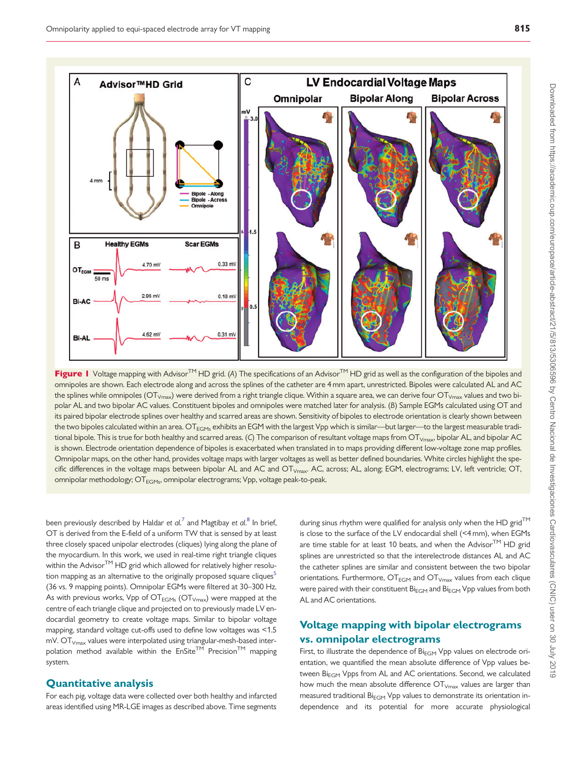<span id="page-2-0"></span>

**Figure 1** Voltage mapping with Advisor<sup>TM</sup> HD grid. (A) The specifications of an Advisor<sup>TM</sup> HD grid as well as the configuration of the bipoles and omnipoles are shown. Each electrode along and across the splines of the catheter are 4 mm apart, unrestricted. Bipoles were calculated AL and AC the splines while omnipoles ( $OT_{Vmax}$ ) were derived from a right triangle clique. Within a square area, we can derive four  $OT_{Vmax}$  values and two bipolar AL and two bipolar AC values. Constituent bipoles and omnipoles were matched later for analysis. (B) Sample EGMs calculated using OT and its paired bipolar electrode splines over healthy and scarred areas are shown. Sensitivity of bipoles to electrode orientation is clearly shown between the two bipoles calculated within an area. OT $_{EGMs}$  exhibits an EGM with the largest Vpp which is similar—but larger—to the largest measurable traditional bipole. This is true for both healthy and scarred areas. (C) The comparison of resultant voltage maps from  $OT_{Vmax}$ , bipolar AL, and bipolar AC is shown. Electrode orientation dependence of bipoles is exacerbated when translated in to maps providing different low-voltage zone map profiles. Omnipolar maps, on the other hand, provides voltage maps with larger voltages as well as better defined boundaries. White circles highlight the specific differences in the voltage maps between bipolar AL and AC and OT<sub>Vmax</sub>. AC, across; AL, along; EGM, electrograms; LV, left ventricle; OT, omnipolar methodology; OT<sub>FGMs</sub>, omnipolar electrograms; Vpp, voltage peak-to-peak.

been previously described by Haldar et  $al^{7}$  $al^{7}$  $al^{7}$  and Magtibay et  $al^{8}$  $al^{8}$  $al^{8}$  In brief, OT is derived from the E-field of a uniform TW that is sensed by at least three closely spaced unipolar electrodes (cliques) lying along the plane of the myocardium. In this work, we used in real-time right triangle cliques within the Advisor $TM$  HD grid which allowed for relatively higher resolution mapping as an alternative to the originally proposed square cliques<sup>5</sup> (36 vs. 9 mapping points). Omnipolar EGMs were filtered at 30–300 Hz. As with previous works, Vpp of  $\text{OT}_{\text{EGMs}}$  ( $\text{OT}_{\text{Vmax}}$ ) were mapped at the centre of each triangle clique and projected on to previously made LV endocardial geometry to create voltage maps. Similar to bipolar voltage mapping, standard voltage cut-offs used to define low voltages was <1.5  $mV$ . OT $_{Vmax}$  values were interpolated using triangular-mesh-based interpolation method available within the  $EnSite^{TM}$  Precision<sup>TM</sup> mapping system.

#### Quantitative analysis

For each pig, voltage data were collected over both healthy and infarcted areas identified using MR-LGE images as described above. Time segments

during sinus rhythm were qualified for analysis only when the HD grid<sup>TM</sup> is close to the surface of the LV endocardial shell (<4 mm), when EGMs are time stable for at least 10 beats, and when the Advisor $TM$  HD grid splines are unrestricted so that the interelectrode distances AL and AC the catheter splines are similar and consistent between the two bipolar orientations. Furthermore,  $\text{OT}_{\text{EGM}}$  and  $\text{OT}_{\text{Vmax}}$  values from each clique were paired with their constituent Bi<sub>EGM</sub> and Bi<sub>EGM</sub> Vpp values from both AL and AC orientations.

#### Voltage mapping with bipolar electrograms vs. omnipolar electrograms

First, to illustrate the dependence of Bi<sub>EGM</sub> Vpp values on electrode orientation, we quantified the mean absolute difference of Vpp values between Bi<sub>EGM</sub> Vpps from AL and AC orientations. Second, we calculated how much the mean absolute difference  $OT_{Vmax}$  values are larger than measured traditional  $Bi_{FGM}$  Vpp values to demonstrate its orientation independence and its potential for more accurate physiological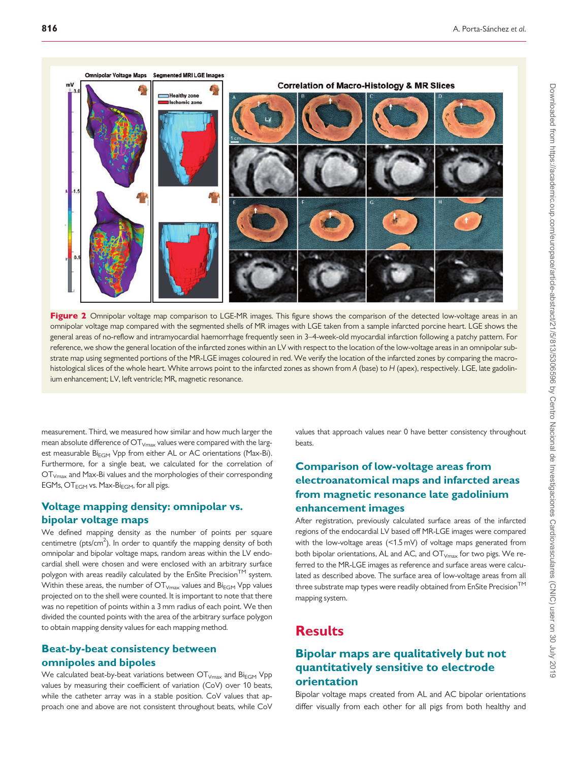<span id="page-3-0"></span>



measurement. Third, we measured how similar and how much larger the mean absolute difference of  $\text{OT}_{V\text{max}}$  values were compared with the largest measurable Bi<sub>EGM</sub> Vpp from either AL or AC orientations (Max-Bi). Furthermore, for a single beat, we calculated for the correlation of OTVmax and Max-Bi values and the morphologies of their corresponding EGMs,  $OT_{EGM}$  vs. Max-Bi<sub>EGM</sub>, for all pigs.

#### Voltage mapping density: omnipolar vs. bipolar voltage maps

We defined mapping density as the number of points per square centimetre ( $pts/cm<sup>2</sup>$ ). In order to quantify the mapping density of both omnipolar and bipolar voltage maps, random areas within the LV endocardial shell were chosen and were enclosed with an arbitrary surface polygon with areas readily calculated by the EnSite Precision<sup>TM</sup> system. Within these areas, the number of  $\text{OT}_{V\text{max}}$  values and  $\text{Bi}_{\text{EGM}}$  Vpp values projected on to the shell were counted. It is important to note that there was no repetition of points within a 3 mm radius of each point. We then divided the counted points with the area of the arbitrary surface polygon to obtain mapping density values for each mapping method.

#### Beat-by-beat consistency between omnipoles and bipoles

We calculated beat-by-beat variations between  $OT_{Vmax}$  and  $Bi_{EGM}$  Vpp values by measuring their coefficient of variation (CoV) over 10 beats, while the catheter array was in a stable position. CoV values that approach one and above are not consistent throughout beats, while CoV values that approach values near 0 have better consistency throughout beats.

#### Comparison of low-voltage areas from electroanatomical maps and infarcted areas from magnetic resonance late gadolinium enhancement images

After registration, previously calculated surface areas of the infarcted regions of the endocardial LV based off MR-LGE images were compared with the low-voltage areas (<1.5 mV) of voltage maps generated from both bipolar orientations, AL and AC, and  $OT_{Vmax}$  for two pigs. We referred to the MR-LGE images as reference and surface areas were calculated as described above. The surface area of low-voltage areas from all three substrate map types were readily obtained from EnSite Precision<sup>TM</sup> mapping system.

### **Results**

#### Bipolar maps are qualitatively but not quantitatively sensitive to electrode orientation

Bipolar voltage maps created from AL and AC bipolar orientations differ visually from each other for all pigs from both healthy and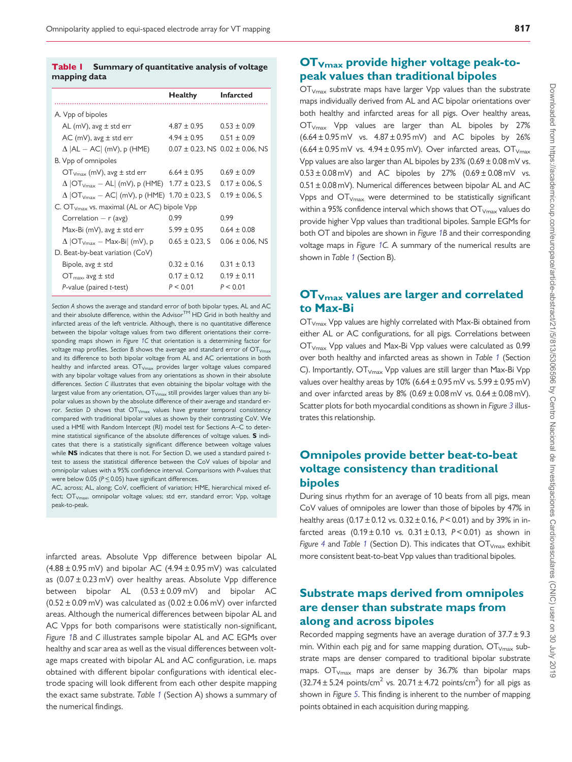#### <span id="page-4-0"></span>Table 1 Summary of quantitative analysis of voltage mapping data

|                                                                 | <b>Healthy</b>      | <b>Infarcted</b>                          |  |
|-----------------------------------------------------------------|---------------------|-------------------------------------------|--|
| A. Vpp of bipoles                                               |                     |                                           |  |
| AL (mV), avg $\pm$ std err                                      | $4.87 \pm 0.95$     | $0.53 \pm 0.09$                           |  |
| AC (mV), avg $\pm$ std err                                      | $4.94 + 0.95$       | $0.51 \pm 0.09$                           |  |
| $\Delta$  AL $-$ AC  (mV), p (HME)                              |                     | $0.07 \pm 0.23$ , NS $0.02 \pm 0.06$ , NS |  |
| B. Vpp of omnipoles                                             |                     |                                           |  |
| $OTVmax$ (mV), avg $\pm$ std err 6.64 $\pm$ 0.95                |                     | $0.69 + 0.09$                             |  |
| $\Delta$  OT <sub>Vmax</sub> – AL  (mV), p (HME) 1.77 ± 0.23, S |                     | $0.17 \pm 0.06$ , S                       |  |
| $\Delta$  OT <sub>Vmax</sub> – AC  (mV), p (HME) 1.70 ± 0.23, S |                     | $0.19 \pm 0.06$ , S                       |  |
| C. OT <sub>Vmax</sub> vs. maximal (AL or AC) bipole Vpp         |                     |                                           |  |
| Correlation $- r$ (avg)                                         | 0.99                | 0.99                                      |  |
| Max-Bi (mV), avg $\pm$ std err                                  | $5.99 \pm 0.95$     | $0.64 \pm 0.08$                           |  |
| $\Delta$  OT <sub>Vmax</sub> – Max-Bi  (mV), p                  | $0.65 \pm 0.23$ , S | $0.06 \pm 0.06$ , NS                      |  |
| D. Beat-by-beat variation (CoV)                                 |                     |                                           |  |
| Bipole, $avg \pm std$                                           | $0.32 \pm 0.16$     | $0.31 + 0.13$                             |  |
| $OT_{max}$ , avg $\pm$ std                                      | $0.17 \pm 0.12$     | $0.19 \pm 0.11$                           |  |
| $P$ -value (paired $t$ -test)                                   | P < 0.01            | P < 0.01                                  |  |

Section A shows the average and standard error of both bipolar types, AL and AC and their absolute difference, within the Advisor™ HD Grid in both healthy and infarcted areas of the left ventricle. Although, there is no quantitative difference between the bipolar voltage values from two different orientations their corresponding maps shown in Figure [1C](#page-2-0) that orientation is a determining factor for voltage map profiles. Section B shows the average and standard error of  $OT_{Vm}$ and its difference to both bipolar voltage from AL and AC orientations in both healthy and infarcted areas.  $\text{OT}_{\text{Vmax}}$  provides larger voltage values compared with any bipolar voltage values from any orientations as shown in their absolute differences. Section C illustrates that even obtaining the bipolar voltage with the largest value from any orientation,  $OT_{Vmax}$  still provides larger values than any bipolar values as shown by the absolute difference of their average and standard error. Section D shows that  $\text{OT}_{V\text{max}}$  values have greater temporal consistency compared with traditional bipolar values as shown by their contrasting CoV. We used a HME with Random Intercept (RI) model test for Sections A–C to determine statistical significance of the absolute differences of voltage values. S indicates that there is a statistically significant difference between voltage values while NS indicates that there is not. For Section D, we used a standard paired ttest to assess the statistical difference between the CoV values of bipolar and omnipolar values with a 95% confidence interval. Comparisons with P-values that were below 0.05 ( $P \le 0.05$ ) have significant differences.

AC, across; AL, along; CoV, coefficient of variation; HME, hierarchical mixed effect;  $\text{OT}_{V\text{max}}$ , omnipolar voltage values; std err, standard error; Vpp, voltage peak-to-peak.

infarcted areas. Absolute Vpp difference between bipolar AL  $(4.88 \pm 0.95 \text{ mV})$  and bipolar AC  $(4.94 \pm 0.95 \text{ mV})$  was calculated as (0.07 ± 0.23 mV) over healthy areas. Absolute Vpp difference between bipolar AL  $(0.53 \pm 0.09 \,\text{mV})$  and bipolar AC  $(0.52 \pm 0.09 \,\text{mV})$  was calculated as  $(0.02 \pm 0.06 \,\text{mV})$  over infarcted areas. Although the numerical differences between bipolar AL and AC Vpps for both comparisons were statistically non-significant, Figure [1B](#page-2-0) and C illustrates sample bipolar AL and AC EGMs over healthy and scar area as well as the visual differences between voltage maps created with bipolar AL and AC configuration, i.e. maps obtained with different bipolar configurations with identical electrode spacing will look different from each other despite mapping the exact same substrate. Table 1 (Section A) shows a summary of the numerical findings.

#### OTVmax provide higher voltage peak-topeak values than traditional bipoles

 $\overline{\text{OT}}_{\text{Vmax}}$  substrate maps have larger Vpp values than the substrate maps individually derived from AL and AC bipolar orientations over both healthy and infarcted areas for all pigs. Over healthy areas,  $\overline{\text{OT}}_{\text{Vmax}}$  Vpp values are larger than AL bipoles by 27%  $(6.64 \pm 0.95 \,\text{mV}$  vs.  $4.87 \pm 0.95 \,\text{mV}$  and AC bipoles by 26%  $(6.64 \pm 0.95 \text{ mV} \text{ vs. } 4.94 \pm 0.95 \text{ mV})$ . Over infarcted areas, OT<sub>Vmax</sub> Vpp values are also larger than AL bipoles by  $23\%$  (0.69  $\pm$  0.08 mV vs.  $0.53 \pm 0.08$  mV) and AC bipoles by 27%  $(0.69 \pm 0.08$  mV vs. 0.51 ± 0.08 mV). Numerical differences between bipolar AL and AC Vpps and  $OT<sub>Vmax</sub>$  were determined to be statistically significant within a 95% confidence interval which shows that  $\text{OT}_{V_{\text{max}}}$  values do provide higher Vpp values than traditional bipoles. Sample EGMs for both OT and bipoles are shown in Figure [1](#page-2-0)B and their corresponding voltage maps in Figure [1](#page-2-0)C. A summary of the numerical results are shown in Table 1 (Section B).

#### OTVmax values are larger and correlated to Max-Bi

OT<sub>Vmax</sub> Vpp values are highly correlated with Max-Bi obtained from either AL or AC configurations, for all pigs. Correlations between OTVmax Vpp values and Max-Bi Vpp values were calculated as 0.99 over both healthy and infarcted areas as shown in Table 1 (Section C). Importantly,  $OT_{Vmax}$  Vpp values are still larger than Max-Bi Vpp values over healthy areas by 10% (6.64  $\pm$  0.95 mV vs. 5.99  $\pm$  0.95 mV) and over infarcted areas by  $8\%$  (0.69  $\pm$  0.08 mV vs. 0.64  $\pm$  0.08 mV). Scatter plots for both myocardial conditions as shown in Figure [3](#page-5-0) illustrates this relationship.

#### Omnipoles provide better beat-to-beat voltage consistency than traditional bipoles

During sinus rhythm for an average of 10 beats from all pigs, mean CoV values of omnipoles are lower than those of bipoles by 47% in healthy areas  $(0.17 \pm 0.12 \text{ vs. } 0.32 \pm 0.16, P < 0.01)$  and by 39% in infarcted areas  $(0.19 \pm 0.10 \text{ vs. } 0.31 \pm 0.13, P < 0.01)$  as shown in Figure [4](#page-5-0) and Table 1 (Section D). This indicates that  $OT_{V_{\text{max}}}$  exhibit more consistent beat-to-beat Vpp values than traditional bipoles.

#### Substrate maps derived from omnipoles are denser than substrate maps from along and across bipoles

Recorded mapping segments have an average duration of  $37.7 \pm 9.3$ min. Within each pig and for same mapping duration,  $OT_{V_{\text{max}}}$  substrate maps are denser compared to traditional bipolar substrate maps.  $\text{OT}_{\text{Vmax}}$  maps are denser by 36.7% than bipolar maps  $(32.74 \pm 5.24 \text{ points/cm}^2 \text{ vs. } 20.71 \pm 4.72 \text{ points/cm}^2)$  for all pigs as shown in Figure [5](#page-6-0). This finding is inherent to the number of mapping points obtained in each acquisition during mapping.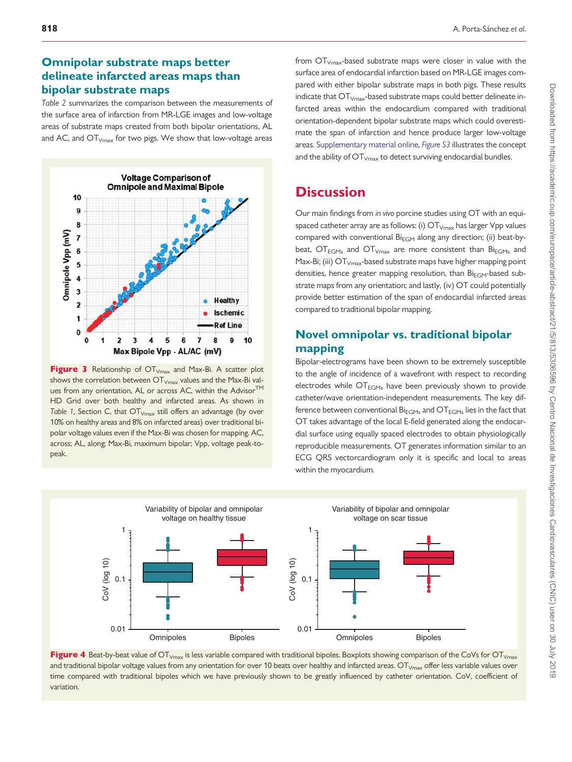#### <span id="page-5-0"></span>Omnipolar substrate maps better delineate infarcted areas maps than bipolar substrate maps

Table [2](#page-7-0) summarizes the comparison between the measurements of the surface area of infarction from MR-LGE images and low-voltage areas of substrate maps created from both bipolar orientations, AL and AC, and  $OT<sub>Vmax</sub>$  for two pigs. We show that low-voltage areas



**Figure 3** Relationship of  $OT_{V_{\text{max}}}$  and Max-Bi. A scatter plot shows the correlation between  $OT_{Vmax}$  values and the Max-Bi values from any orientation, AL or across AC, within the Advisor<sup>TM</sup> HD Grid over both healthy and infarcted areas. As shown in Table [1](#page-4-0), Section C, that  $OT_{Vmax}$  still offers an advantage (by over 10% on healthy areas and 8% on infarcted areas) over traditional bipolar voltage values even if the Max-Bi was chosen for mapping. AC, across; AL, along; Max-Bi, maximum bipolar; Vpp, voltage peak-topeak.

from  $OT<sub>Vmax</sub>$ -based substrate maps were closer in value with the surface area of endocardial infarction based on MR-LGE images compared with either bipolar substrate maps in both pigs. These results indicate that  $OT<sub>Vmax</sub>$ -based substrate maps could better delineate infarcted areas within the endocardium compared with traditional orientation-dependent bipolar substrate maps which could overestimate the span of infarction and hence produce larger low-voltage areas. [Supplementary material online,](https://academic.oup.com/europace/article-lookup/doi/10.1093/europace/euy304#supplementary-data) [Figure S3](https://academic.oup.com/europace/article-lookup/doi/10.1093/europace/euy304#supplementary-data) illustrates the concept and the ability of  $\text{OT}_{V\text{max}}$  to detect surviving endocardial bundles.

## **Discussion**

Our main findings from in vivo porcine studies using OT with an equispaced catheter array are as follows: (i)  $\text{OT}_{V_{\text{max}}}$  has larger Vpp values compared with conventional  $Bi_{EGM}$  along any direction; (ii) beat-bybeat,  $\text{OT}_{\text{EGMs}}$  and  $\text{OT}_{\text{Vmax}}$  are more consistent than  $\text{Bi}_{\text{EGMs}}$  and Max-Bi; (iii)  $OT<sub>Vmax</sub>$ -based substrate maps have higher mapping point densities, hence greater mapping resolution, than  $\text{Bi}_{\text{EGM}}$ -based substrate maps from any orientation; and lastly, (iv) OT could potentially provide better estimation of the span of endocardial infarcted areas compared to traditional bipolar mapping.

## Novel omnipolar vs. traditional bipolar mapping

Bipolar-electrograms have been shown to be extremely susceptible to the angle of incidence of a wavefront with respect to recording electrodes while  $OT<sub>ECMs</sub>$  have been previously shown to provide catheter/wave orientation-independent measurements. The key difference between conventional  $Bi_{EGMs}$  and  $OT_{EGMs}$  lies in the fact that OT takes advantage of the local E-field generated along the endocardial surface using equally spaced electrodes to obtain physiologically reproducible measurements. OT generates information similar to an ECG QRS vectorcardiogram only it is specific and local to areas within the myocardium.



Figure 4 Beat-by-beat value of  $\overline{OT}_{Vmax}$  is less variable compared with traditional bipoles. Boxplots showing comparison of the CoVs for  $\overline{OT}_{Vmax}$ and traditional bipolar voltage values from any orientation for over 10 beats over healthy and infarcted areas. OT<sub>Vmax</sub> offer less variable values over time compared with traditional bipoles which we have previously shown to be greatly influenced by catheter orientation. CoV, coefficient of variation.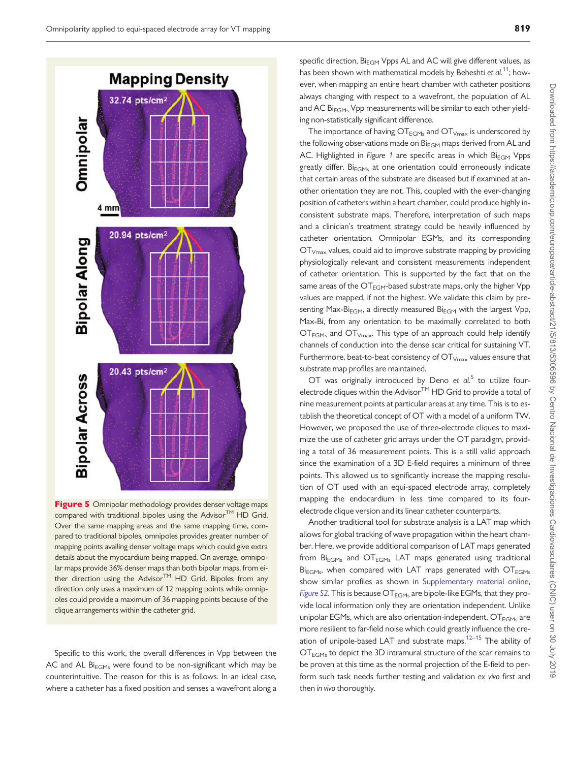<span id="page-6-0"></span>

Figure 5 Omnipolar methodology provides denser voltage maps compared with traditional bipoles using the Advisor $TM$  HD Grid. Over the same mapping areas and the same mapping time, compared to traditional bipoles, omnipoles provides greater number of mapping points availing denser voltage maps which could give extra details about the myocardium being mapped. On average, omnipolar maps provide 36% denser maps than both bipolar maps, from either direction using the Advisor<sup>TM</sup> HD Grid. Bipoles from any direction only uses a maximum of 12 mapping points while omnipoles could provide a maximum of 36 mapping points because of the clique arrangements within the catheter grid.

Specific to this work, the overall differences in Vpp between the AC and AL  $Bi_{EGMs}$  were found to be non-significant which may be counterintuitive. The reason for this is as follows. In an ideal case, where a catheter has a fixed position and senses a wavefront along a

specific direction,  $Bi_{EGM}$  Vpps AL and AC will give different values, as has been shown with mathematical models by Beheshti et  $al^{11}$  $al^{11}$  $al^{11}$ ; however, when mapping an entire heart chamber with catheter positions always changing with respect to a wavefront, the population of AL and AC Bi $_{\text{FGMs}}$  Vpp measurements will be similar to each other yielding non-statistically significant difference.

The importance of having  $OT_{EGMs}$  and  $OT_{Vmax}$  is underscored by the following observations made on  $Bi_{FGM}$  maps derived from AL and AC. Highlighted in Figure [1](#page-2-0) are specific areas in which  $Bi_{EGM}$  Vpps greatly differ.  $Bi_{FGMs}$  at one orientation could erroneously indicate that certain areas of the substrate are diseased but if examined at another orientation they are not. This, coupled with the ever-changing position of catheters within a heart chamber, could produce highly inconsistent substrate maps. Therefore, interpretation of such maps and a clinician's treatment strategy could be heavily influenced by catheter orientation. Omnipolar EGMs, and its corresponding  $\overline{\text{OT}}_{\text{Vmax}}$  values, could aid to improve substrate mapping by providing physiologically relevant and consistent measurements independent of catheter orientation. This is supported by the fact that on the same areas of the OT<sub>EGM</sub>-based substrate maps, only the higher Vpp values are mapped, if not the highest. We validate this claim by presenting Max-Bi<sub>EGM</sub>, a directly measured Bi<sub>EGM</sub> with the largest Vpp, Max-Bi, from any orientation to be maximally correlated to both  $\text{OT}_{\text{EGMs}}$  and  $\text{OT}_{\text{Vmax}}$ . This type of an approach could help identify channels of conduction into the dense scar critical for sustaining VT. Furthermore, beat-to-beat consistency of  $OT<sub>Vmax</sub>$  values ensure that substrate map profiles are maintained.

OT was originally introduced by Deno et  $al$ <sup>[5](#page-8-0)</sup> to utilize fourelectrode cliques within the Advisor $TM$  HD Grid to provide a total of nine measurement points at particular areas at any time. This is to establish the theoretical concept of OT with a model of a uniform TW. However, we proposed the use of three-electrode cliques to maximize the use of catheter grid arrays under the OT paradigm, providing a total of 36 measurement points. This is a still valid approach since the examination of a 3D E-field requires a minimum of three points. This allowed us to significantly increase the mapping resolution of OT used with an equi-spaced electrode array, completely mapping the endocardium in less time compared to its fourelectrode clique version and its linear catheter counterparts.

Another traditional tool for substrate analysis is a LAT map which allows for global tracking of wave propagation within the heart chamber. Here, we provide additional comparison of LAT maps generated from  $Bi_{EGMs}$  and  $OT_{EGMs}$  LAT maps generated using traditional  $Bi_{EGMs}$ , when compared with LAT maps generated with  $OT_{EGMs}$ show similar profiles as shown in [Supplementary material online,](https://academic.oup.com/europace/article-lookup/doi/10.1093/europace/euy304#supplementary-data) [Figure S2](https://academic.oup.com/europace/article-lookup/doi/10.1093/europace/euy304#supplementary-data). This is because  $OT_{EGMs}$  are bipole-like EGMs, that they provide local information only they are orientation independent. Unlike unipolar EGMs, which are also orientation-independent,  $\text{OT}_{\text{FGMs}}$  are more resilient to far-field noise which could greatly influence the creation of unipole-based LAT and substrate maps. $12-15$  The ability of  $\overline{\text{OT}}_{\text{FGMs}}$  to depict the 3D intramural structure of the scar remains to be proven at this time as the normal projection of the E-field to perform such task needs further testing and validation ex vivo first and then in vivo thoroughly.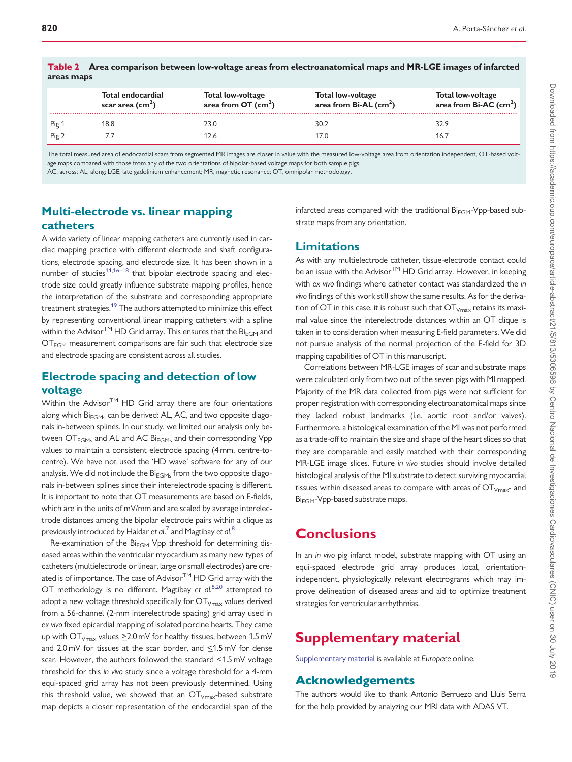|       | Total endocardial<br>scar area $(cm2)$ | Total low-voltage<br>area from $OT$ (cm <sup>2</sup> ) | Total low-voltage<br>area from $Bi-AL$ (cm <sup>2</sup> ) | Total low-voltage<br>area from $Bi-AC$ (cm <sup>2</sup> ) |  |
|-------|----------------------------------------|--------------------------------------------------------|-----------------------------------------------------------|-----------------------------------------------------------|--|
| Pig 1 | 18.8                                   | 23.0                                                   | 30.2                                                      | 32.9                                                      |  |
| Pig 2 |                                        | 2.6                                                    | 17.0                                                      | 16.                                                       |  |

<span id="page-7-0"></span>

|            | Table 2 Area comparison between low-voltage areas from electroanatomical maps and MR-LGE images of infarcted |
|------------|--------------------------------------------------------------------------------------------------------------|
| areas maps |                                                                                                              |

The total measured area of endocardial scars from segmented MR images are closer in value with the measured low-voltage area from orientation independent, OT-based voltage maps compared with those from any of the two orientations of bipolar-based voltage maps for both sample pigs.

AC, across; AL, along; LGE, late gadolinium enhancement; MR, magnetic resonance; OT, omnipolar methodology.

#### Multi-electrode vs. linear mapping catheters

A wide variety of linear mapping catheters are currently used in cardiac mapping practice with different electrode and shaft configurations, electrode spacing, and electrode size. It has been shown in a number of studies<sup>[11](#page-8-0),[16–18](#page-8-0)</sup> that bipolar electrode spacing and electrode size could greatly influence substrate mapping profiles, hence the interpretation of the substrate and corresponding appropriate treatment strategies.<sup>19</sup> The authors attempted to minimize this effect by representing conventional linear mapping catheters with a spline within the Advisor<sup>TM</sup> HD Grid array. This ensures that the Bi<sub>EGM</sub> and  $\overline{\text{OT}}_{\text{EGM}}$  measurement comparisons are fair such that electrode size and electrode spacing are consistent across all studies.

#### Electrode spacing and detection of low voltage

Within the Advisor $TM$  HD Grid array there are four orientations along which  $Bi_{EGMs}$  can be derived: AL, AC, and two opposite diagonals in-between splines. In our study, we limited our analysis only between  $\text{OT}_{\text{FGMs}}$  and AL and AC  $\text{Bi}_{\text{FGMs}}$  and their corresponding Vpp values to maintain a consistent electrode spacing (4 mm, centre-tocentre). We have not used the 'HD wave' software for any of our analysis. We did not include the  $Bi_{EGMs}$  from the two opposite diagonals in-between splines since their interelectrode spacing is different. It is important to note that OT measurements are based on E-fields, which are in the units of mV/mm and are scaled by average interelectrode distances among the bipolar electrode pairs within a clique as previously introduced by Haldar et  $al.^7$  $al.^7$  and Magtibay et  $al.^8$  $al.^8$ 

Re-examination of the  $Bi_{EGM}$  Vpp threshold for determining diseased areas within the ventricular myocardium as many new types of catheters (multielectrode or linear, large or small electrodes) are created is of importance. The case of Advisor<sup>TM</sup> HD Grid array with the OT methodology is no different. Magtibay et  $al^{8,20}$  $al^{8,20}$  $al^{8,20}$  attempted to adopt a new voltage threshold specifically for  $OT_{V_{\text{max}}}$  values derived from a 56-channel (2-mm interelectrode spacing) grid array used in ex vivo fixed epicardial mapping of isolated porcine hearts. They came up with  $\text{OT}_{Vmax}$  values  $\geq$  2.0 mV for healthy tissues, between 1.5 mV and  $2.0 \text{ mV}$  for tissues at the scar border, and  $\leq 1.5 \text{ mV}$  for dense scar. However, the authors followed the standard <1.5 mV voltage threshold for this in vivo study since a voltage threshold for a 4-mm equi-spaced grid array has not been previously determined. Using this threshold value, we showed that an  $OT_{Vmax}$ -based substrate map depicts a closer representation of the endocardial span of the

infarcted areas compared with the traditional  $Bi_{EGM}$ -Vpp-based substrate maps from any orientation.

#### Limitations

As with any multielectrode catheter, tissue-electrode contact could be an issue with the Advisor<sup>TM</sup> HD Grid array. However, in keeping with ex vivo findings where catheter contact was standardized the in vivo findings of this work still show the same results. As for the derivation of OT in this case, it is robust such that  $OT_{Vmax}$  retains its maximal value since the interelectrode distances within an OT clique is taken in to consideration when measuring E-field parameters. We did not pursue analysis of the normal projection of the E-field for 3D mapping capabilities of OT in this manuscript.

Correlations between MR-LGE images of scar and substrate maps were calculated only from two out of the seven pigs with MI mapped. Majority of the MR data collected from pigs were not sufficient for proper registration with corresponding electroanatomical maps since they lacked robust landmarks (i.e. aortic root and/or valves). Furthermore, a histological examination of the MI was not performed as a trade-off to maintain the size and shape of the heart slices so that they are comparable and easily matched with their corresponding MR-LGE image slices. Future in vivo studies should involve detailed histological analysis of the MI substrate to detect surviving myocardial tissues within diseased areas to compare with areas of  $OT<sub>Vmax</sub>$ - and Bi<sub>EGM</sub>-Vpp-based substrate maps.

## **Conclusions**

In an in vivo pig infarct model, substrate mapping with OT using an equi-spaced electrode grid array produces local, orientationindependent, physiologically relevant electrograms which may improve delineation of diseased areas and aid to optimize treatment strategies for ventricular arrhythmias.

## Supplementary material

[Supplementary material](https://academic.oup.com/europace/article-lookup/doi/10.1093/europace/euy304#supplementary-data) is available at Europace online.

## Acknowledgements

The authors would like to thank Antonio Berruezo and Lluis Serra for the help provided by analyzing our MRI data with ADAS VT.